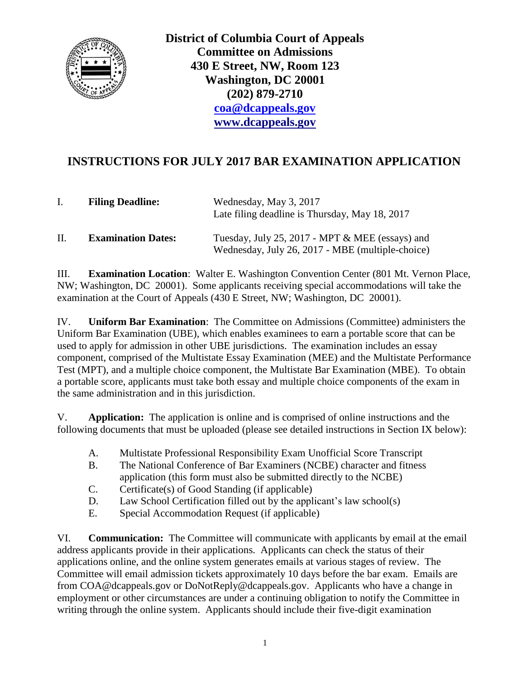

**District of Columbia Court of Appeals Committee on Admissions 430 E Street, NW, Room 123 Washington, DC 20001 (202) 879-2710 [coa@dcappeals.gov](mailto:coa@dcappeals.gov) [www.dcappeals.gov](http://www.dcappeals.gov/)**

## **INSTRUCTIONS FOR JULY 2017 BAR EXAMINATION APPLICATION**

|    | <b>Filing Deadline:</b>   | Wednesday, May 3, 2017<br>Late filing deadline is Thursday, May 18, 2017                            |
|----|---------------------------|-----------------------------------------------------------------------------------------------------|
| H. | <b>Examination Dates:</b> | Tuesday, July 25, 2017 - MPT & MEE (essays) and<br>Wednesday, July 26, 2017 - MBE (multiple-choice) |

III. **Examination Location**: Walter E. Washington Convention Center (801 Mt. Vernon Place, NW; Washington, DC 20001). Some applicants receiving special accommodations will take the examination at the Court of Appeals (430 E Street, NW; Washington, DC 20001).

IV. **Uniform Bar Examination**: The Committee on Admissions (Committee) administers the Uniform Bar Examination (UBE), which enables examinees to earn a portable score that can be used to apply for admission in other UBE jurisdictions. The examination includes an essay component, comprised of the Multistate Essay Examination (MEE) and the Multistate Performance Test (MPT), and a multiple choice component, the Multistate Bar Examination (MBE). To obtain a portable score, applicants must take both essay and multiple choice components of the exam in the same administration and in this jurisdiction.

V. **Application:** The application is online and is comprised of online instructions and the following documents that must be uploaded (please see detailed instructions in Section IX below):

- A. Multistate Professional Responsibility Exam Unofficial Score Transcript
- B. The National Conference of Bar Examiners (NCBE) character and fitness application (this form must also be submitted directly to the NCBE)
- C. Certificate(s) of Good Standing (if applicable)
- D. Law School Certification filled out by the applicant's law school(s)
- E. Special Accommodation Request (if applicable)

VI. **Communication:** The Committee will communicate with applicants by email at the email address applicants provide in their applications. Applicants can check the status of their applications online, and the online system generates emails at various stages of review. The Committee will email admission tickets approximately 10 days before the bar exam. Emails are from COA@dcappeals.gov or DoNotReply@dcappeals.gov. Applicants who have a change in employment or other circumstances are under a continuing obligation to notify the Committee in writing through the online system. Applicants should include their five-digit examination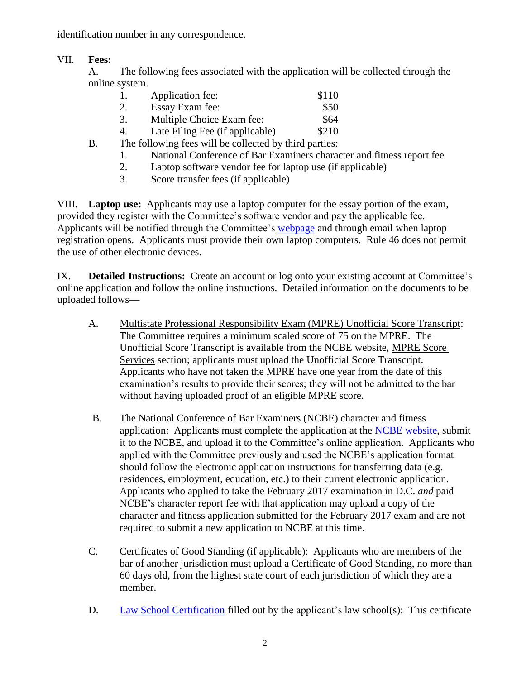identification number in any correspondence.

## VII. **Fees:**

A. The following fees associated with the application will be collected through the online system.

|    | Application fee:                | \$110 |
|----|---------------------------------|-------|
| 2. | Essay Exam fee:                 | \$50  |
| 3. | Multiple Choice Exam fee:       | \$64  |
| 4. | Late Filing Fee (if applicable) | \$210 |

- B. The following fees will be collected by third parties:
	- 1. National Conference of Bar Examiners character and fitness report fee
	- 2. Laptop software vendor fee for laptop use (if applicable)
	- 3. Score transfer fees (if applicable)

VIII. **Laptop use:** Applicants may use a laptop computer for the essay portion of the exam, provided they register with the Committee's software vendor and pay the applicable fee. Applicants will be notified through the Committee's [webpage](http://www.dcappeals.gov/internet/appellate/admincommittee/main.jsf) and through email when laptop registration opens. Applicants must provide their own laptop computers. Rule 46 does not permit the use of other electronic devices.

IX. **Detailed Instructions:** Create an account or log onto your existing account at Committee's online application and follow the online instructions. Detailed information on the documents to be uploaded follows—

- A. Multistate Professional Responsibility Exam (MPRE) Unofficial Score Transcript: The Committee requires a minimum scaled score of 75 on the MPRE. The Unofficial Score Transcript is available from the NCBE website, [MPRE Score](http://www.ncbex.org/ncbe-exam-score-services/mpre-score-services/)  [Services](http://www.ncbex.org/ncbe-exam-score-services/mpre-score-services/) section; applicants must upload the Unofficial Score Transcript. Applicants who have not taken the MPRE have one year from the date of this examination's results to provide their scores; they will not be admitted to the bar without having uploaded proof of an eligible MPRE score.
- B. The National Conference of Bar Examiners (NCBE) character and fitness application: Applicants must complete the application at the [NCBE website,](https://accounts.ncbex.org/php/ncbe_number/) submit it to the NCBE, and upload it to the Committee's online application. Applicants who applied with the Committee previously and used the NCBE's application format should follow the electronic application instructions for transferring data (e.g. residences, employment, education, etc.) to their current electronic application. Applicants who applied to take the February 2017 examination in D.C. *and* paid NCBE's character report fee with that application may upload a copy of the character and fitness application submitted for the February 2017 exam and are not required to submit a new application to NCBE at this time.
- C. Certificates of Good Standing (if applicable): Applicants who are members of the bar of another jurisdiction must upload a Certificate of Good Standing, no more than 60 days old, from the highest state court of each jurisdiction of which they are a member.
- D. [Law School Certification](http://www.dcappeals.gov/internet/documents/Law-School-Certification-Form.pdf) filled out by the applicant's law school(s): This certificate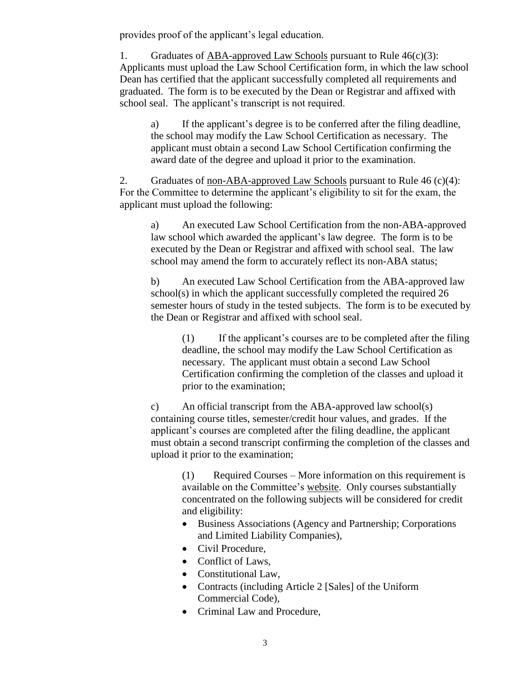provides proof of the applicant's legal education.

1. Graduates of ABA-approved Law Schools pursuant to Rule 46(c)(3): Applicants must upload the Law School Certification form, in which the law school Dean has certified that the applicant successfully completed all requirements and graduated. The form is to be executed by the Dean or Registrar and affixed with school seal. The applicant's transcript is not required.

a) If the applicant's degree is to be conferred after the filing deadline, the school may modify the Law School Certification as necessary. The applicant must obtain a second Law School Certification confirming the award date of the degree and upload it prior to the examination.

2. Graduates of non-ABA-approved Law Schools pursuant to Rule  $46$  (c)(4): For the Committee to determine the applicant's eligibility to sit for the exam, the applicant must upload the following:

a) An executed Law School Certification from the non-ABA-approved law school which awarded the applicant's law degree. The form is to be executed by the Dean or Registrar and affixed with school seal. The law school may amend the form to accurately reflect its non-ABA status;

b) An executed Law School Certification from the ABA-approved law school(s) in which the applicant successfully completed the required 26 semester hours of study in the tested subjects. The form is to be executed by the Dean or Registrar and affixed with school seal.

(1) If the applicant's courses are to be completed after the filing deadline, the school may modify the Law School Certification as necessary. The applicant must obtain a second Law School Certification confirming the completion of the classes and upload it prior to the examination;

c) An official transcript from the ABA-approved law school(s) containing course titles, semester/credit hour values, and grades. If the applicant's courses are completed after the filing deadline, the applicant must obtain a second transcript confirming the completion of the classes and upload it prior to the examination;

(1) Required Courses – More information on this requirement is available on the Committee's [website.](http://www.dcappeals.gov/internet/documents/Guidance_for_Graduates_of_Non-ABA_Approved_Law-Schools_11-29-16.pdf) Only courses substantially concentrated on the following subjects will be considered for credit and eligibility:

- Business Associations (Agency and Partnership; Corporations and Limited Liability Companies),
- Civil Procedure,
- Conflict of Laws,
- Constitutional Law,
- Contracts (including Article 2 [Sales] of the Uniform Commercial Code),
- Criminal Law and Procedure,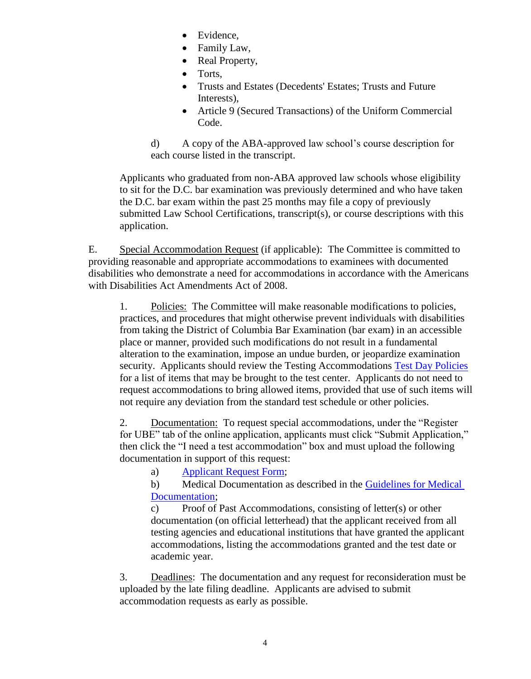- Evidence,
- Family Law,
- Real Property,
- Torts,
- Trusts and Estates (Decedents' Estates; Trusts and Future Interests),
- Article 9 (Secured Transactions) of the Uniform Commercial Code.

d) A copy of the ABA-approved law school's course description for each course listed in the transcript.

Applicants who graduated from non-ABA approved law schools whose eligibility to sit for the D.C. bar examination was previously determined and who have taken the D.C. bar exam within the past 25 months may file a copy of previously submitted Law School Certifications, transcript(s), or course descriptions with this application.

E. Special Accommodation Request (if applicable): The Committee is committed to providing reasonable and appropriate accommodations to examinees with documented disabilities who demonstrate a need for accommodations in accordance with the Americans with Disabilities Act Amendments Act of 2008.

1. Policies: The Committee will make reasonable modifications to policies, practices, and procedures that might otherwise prevent individuals with disabilities from taking the District of Columbia Bar Examination (bar exam) in an accessible place or manner, provided such modifications do not result in a fundamental alteration to the examination, impose an undue burden, or jeopardize examination security. Applicants should review the Testing Accommodations [Test Day Policies](http://www.dcappeals.gov/internet/documents/TestingAccommodations-TestDayPolicies.pdf) for a list of items that may be brought to the test center. Applicants do not need to request accommodations to bring allowed items, provided that use of such items will not require any deviation from the standard test schedule or other policies.

2. Documentation: To request special accommodations, under the "Register" for UBE" tab of the online application, applicants must click "Submit Application," then click the "I need a test accommodation" box and must upload the following documentation in support of this request:

a) [Applicant Request Form;](http://www.dcappeals.gov/internet/documents/TestingAccommodations-ApplicantRequestForm.pdf)

b) Medical Documentation as described in the [Guidelines for Medical](http://www.dcappeals.gov/internet/documents/TestingAccommodations-GuidelinesforMedicalDocumentation.pdf)  [Documentation;](http://www.dcappeals.gov/internet/documents/TestingAccommodations-GuidelinesforMedicalDocumentation.pdf)

c) Proof of Past Accommodations, consisting of letter(s) or other documentation (on official letterhead) that the applicant received from all testing agencies and educational institutions that have granted the applicant accommodations, listing the accommodations granted and the test date or academic year.

3. Deadlines: The documentation and any request for reconsideration must be uploaded by the late filing deadline. Applicants are advised to submit accommodation requests as early as possible.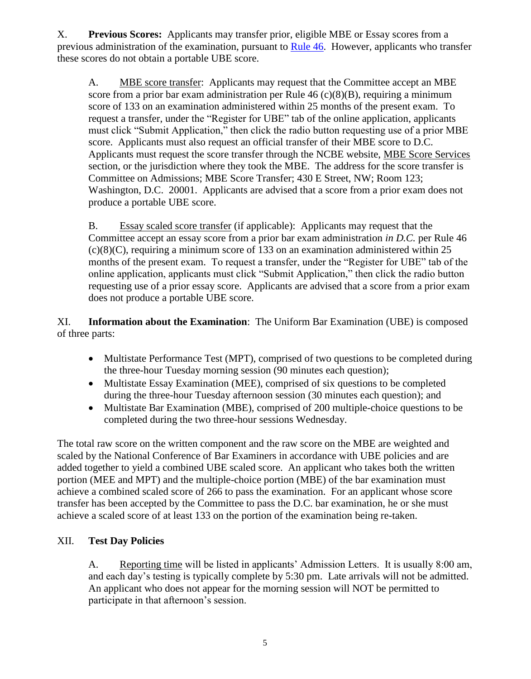X. **Previous Scores:** Applicants may transfer prior, eligible MBE or Essay scores from a previous administration of the examination, pursuant to [Rule 46.](http://www.dcappeals.gov/internet/documents/DCCA_Rule_46.pdf#page=2) However, applicants who transfer these scores do not obtain a portable UBE score.

A. MBE score transfer: Applicants may request that the Committee accept an MBE score from a prior bar exam administration per Rule  $46 \text{ (c)}(8)(B)$ , requiring a minimum score of 133 on an examination administered within 25 months of the present exam. To request a transfer, under the "Register for UBE" tab of the online application, applicants must click "Submit Application," then click the radio button requesting use of a prior MBE score. Applicants must also request an official transfer of their MBE score to D.C. Applicants must request the score transfer through the NCBE website, [MBE Score Services](http://www.ncbex.org/ncbe-exam-score-services/mbe-score-services/) section, or the jurisdiction where they took the MBE. The address for the score transfer is Committee on Admissions; MBE Score Transfer; 430 E Street, NW; Room 123; Washington, D.C. 20001. Applicants are advised that a score from a prior exam does not produce a portable UBE score.

B. Essay scaled score transfer (if applicable): Applicants may request that the Committee accept an essay score from a prior bar exam administration *in D.C.* per Rule 46  $(c)(8)(C)$ , requiring a minimum score of 133 on an examination administered within 25 months of the present exam. To request a transfer, under the "Register for UBE" tab of the online application, applicants must click "Submit Application," then click the radio button requesting use of a prior essay score. Applicants are advised that a score from a prior exam does not produce a portable UBE score.

XI. **Information about the Examination**: The Uniform Bar Examination (UBE) is composed of three parts:

- Multistate Performance Test (MPT), comprised of two questions to be completed during the three-hour Tuesday morning session (90 minutes each question);
- Multistate Essay Examination (MEE), comprised of six questions to be completed during the three-hour Tuesday afternoon session (30 minutes each question); and
- Multistate Bar Examination (MBE), comprised of 200 multiple-choice questions to be completed during the two three-hour sessions Wednesday.

The total raw score on the written component and the raw score on the MBE are weighted and scaled by the National Conference of Bar Examiners in accordance with UBE policies and are added together to yield a combined UBE scaled score. An applicant who takes both the written portion (MEE and MPT) and the multiple-choice portion (MBE) of the bar examination must achieve a combined scaled score of 266 to pass the examination. For an applicant whose score transfer has been accepted by the Committee to pass the D.C. bar examination, he or she must achieve a scaled score of at least 133 on the portion of the examination being re-taken.

## XII. **Test Day Policies**

A. Reporting time will be listed in applicants' Admission Letters. It is usually 8:00 am, and each day's testing is typically complete by 5:30 pm. Late arrivals will not be admitted. An applicant who does not appear for the morning session will NOT be permitted to participate in that afternoon's session.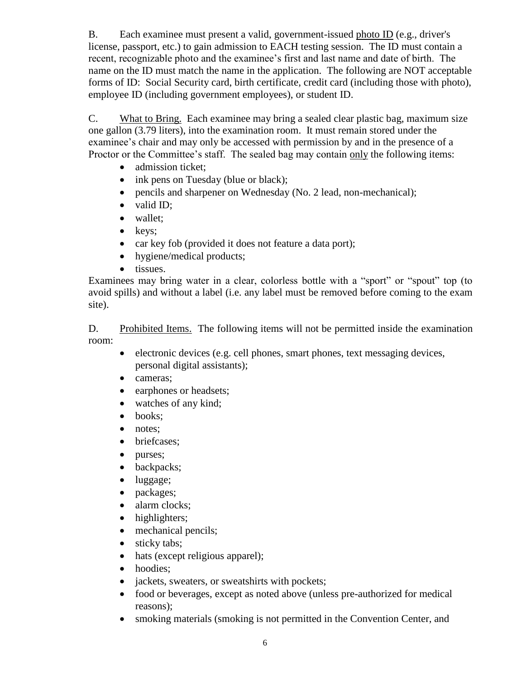B. Each examinee must present a valid, government-issued photo ID (e.g., driver's license, passport, etc.) to gain admission to EACH testing session. The ID must contain a recent, recognizable photo and the examinee's first and last name and date of birth. The name on the ID must match the name in the application. The following are NOT acceptable forms of ID: Social Security card, birth certificate, credit card (including those with photo), employee ID (including government employees), or student ID.

C. What to Bring. Each examinee may bring a sealed clear plastic bag, maximum size one gallon (3.79 liters), into the examination room. It must remain stored under the examinee's chair and may only be accessed with permission by and in the presence of a Proctor or the Committee's staff. The sealed bag may contain only the following items:

- admission ticket:
- ink pens on Tuesday (blue or black);
- pencils and sharpener on Wednesday (No. 2 lead, non-mechanical);
- valid ID;
- wallet;
- $\bullet$  keys;
- car key fob (provided it does not feature a data port);
- hygiene/medical products;
- tissues.

Examinees may bring water in a clear, colorless bottle with a "sport" or "spout" top (to avoid spills) and without a label (i.e. any label must be removed before coming to the exam site).

D. Prohibited Items. The following items will not be permitted inside the examination room:

- $\bullet$  electronic devices (e.g. cell phones, smart phones, text messaging devices, personal digital assistants);
- cameras;
- earphones or headsets;
- watches of any kind;
- books;
- notes;
- briefcases;
- purses;
- backpacks;
- luggage;
- packages;
- alarm clocks;
- highlighters;
- mechanical pencils;
- sticky tabs;
- hats (except religious apparel);
- hoodies;
- jackets, sweaters, or sweatshirts with pockets;
- food or beverages, except as noted above (unless pre-authorized for medical reasons);
- smoking materials (smoking is not permitted in the Convention Center, and